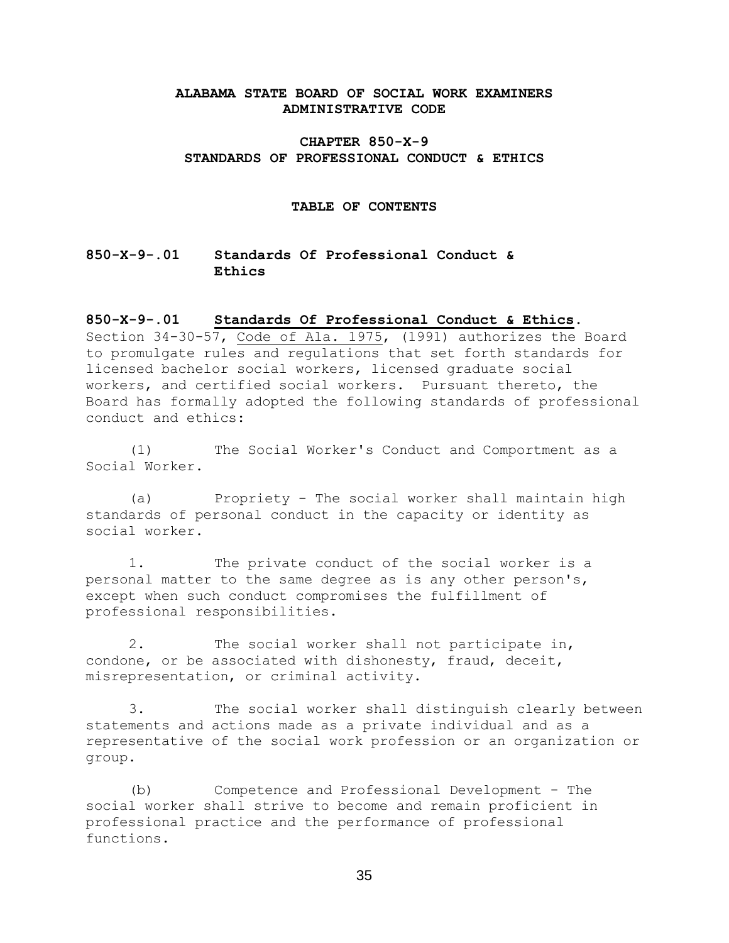## **ALABAMA STATE BOARD OF SOCIAL WORK EXAMINERS ADMINISTRATIVE CODE**

## **CHAPTER 850-X-9 STANDARDS OF PROFESSIONAL CONDUCT & ETHICS**

#### **TABLE OF CONTENTS**

# **850-X-9-.01 Standards Of Professional Conduct & Ethics**

### **850-X-9-.01 Standards Of Professional Conduct & Ethics**.

Section 34-30-57, Code of Ala. 1975, (1991) authorizes the Board to promulgate rules and regulations that set forth standards for licensed bachelor social workers, licensed graduate social workers, and certified social workers. Pursuant thereto, the Board has formally adopted the following standards of professional conduct and ethics:

(1) The Social Worker's Conduct and Comportment as a Social Worker.

(a) Propriety - The social worker shall maintain high standards of personal conduct in the capacity or identity as social worker.

1. The private conduct of the social worker is a personal matter to the same degree as is any other person's, except when such conduct compromises the fulfillment of professional responsibilities.

2. The social worker shall not participate in, condone, or be associated with dishonesty, fraud, deceit, misrepresentation, or criminal activity.

3. The social worker shall distinguish clearly between statements and actions made as a private individual and as a representative of the social work profession or an organization or group.

(b) Competence and Professional Development - The social worker shall strive to become and remain proficient in professional practice and the performance of professional functions.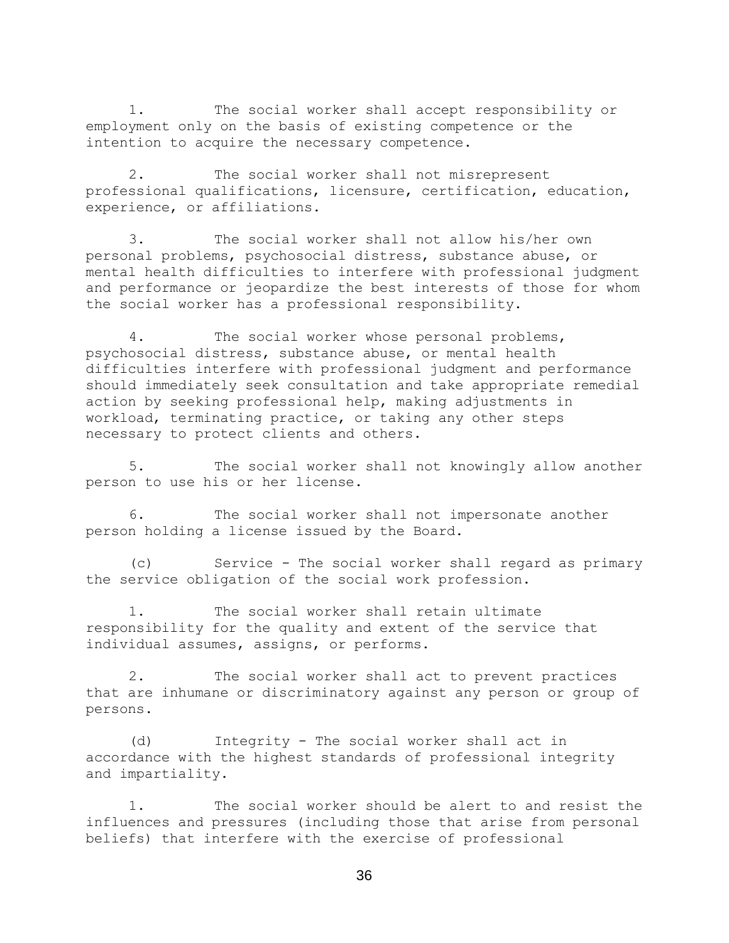1. The social worker shall accept responsibility or employment only on the basis of existing competence or the intention to acquire the necessary competence.

2. The social worker shall not misrepresent professional qualifications, licensure, certification, education, experience, or affiliations.

3. The social worker shall not allow his/her own personal problems, psychosocial distress, substance abuse, or mental health difficulties to interfere with professional judgment and performance or jeopardize the best interests of those for whom the social worker has a professional responsibility.

4. The social worker whose personal problems, psychosocial distress, substance abuse, or mental health difficulties interfere with professional judgment and performance should immediately seek consultation and take appropriate remedial action by seeking professional help, making adjustments in workload, terminating practice, or taking any other steps necessary to protect clients and others.

5. The social worker shall not knowingly allow another person to use his or her license.

6. The social worker shall not impersonate another person holding a license issued by the Board.

(c) Service - The social worker shall regard as primary the service obligation of the social work profession.

1. The social worker shall retain ultimate responsibility for the quality and extent of the service that individual assumes, assigns, or performs.

2. The social worker shall act to prevent practices that are inhumane or discriminatory against any person or group of persons.

(d) Integrity - The social worker shall act in accordance with the highest standards of professional integrity and impartiality.

1. The social worker should be alert to and resist the influences and pressures (including those that arise from personal beliefs) that interfere with the exercise of professional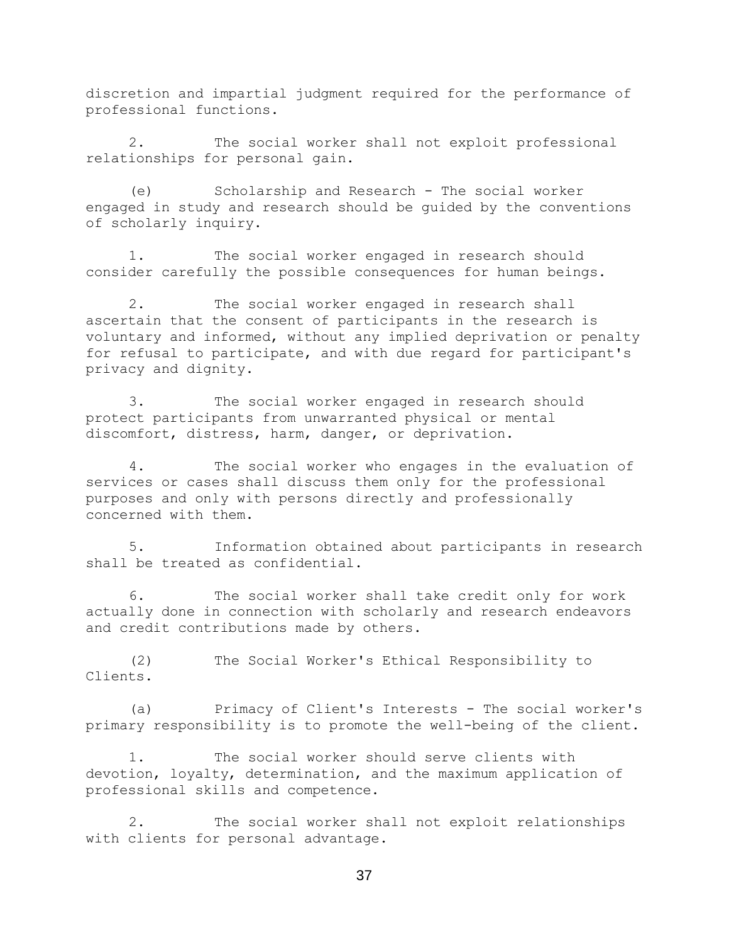discretion and impartial judgment required for the performance of professional functions.

2. The social worker shall not exploit professional relationships for personal gain.

(e) Scholarship and Research - The social worker engaged in study and research should be guided by the conventions of scholarly inquiry.

1. The social worker engaged in research should consider carefully the possible consequences for human beings.

2. The social worker engaged in research shall ascertain that the consent of participants in the research is voluntary and informed, without any implied deprivation or penalty for refusal to participate, and with due regard for participant's privacy and dignity.

3. The social worker engaged in research should protect participants from unwarranted physical or mental discomfort, distress, harm, danger, or deprivation.

4. The social worker who engages in the evaluation of services or cases shall discuss them only for the professional purposes and only with persons directly and professionally concerned with them.

5. Information obtained about participants in research shall be treated as confidential.

6. The social worker shall take credit only for work actually done in connection with scholarly and research endeavors and credit contributions made by others.

(2) The Social Worker's Ethical Responsibility to Clients.

(a) Primacy of Client's Interests - The social worker's primary responsibility is to promote the well-being of the client.

1. The social worker should serve clients with devotion, loyalty, determination, and the maximum application of professional skills and competence.

2. The social worker shall not exploit relationships with clients for personal advantage.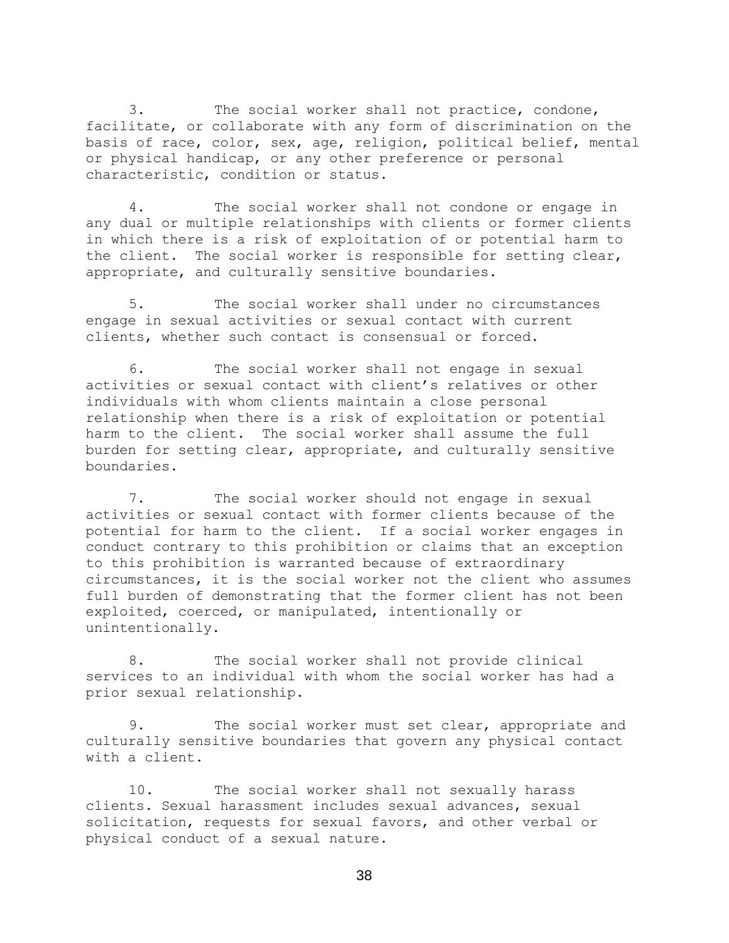3. The social worker shall not practice, condone, facilitate, or collaborate with any form of discrimination on the basis of race, color, sex, age, religion, political belief, mental or physical handicap, or any other preference or personal characteristic, condition or status.

4. The social worker shall not condone or engage in any dual or multiple relationships with clients or former clients in which there is a risk of exploitation of or potential harm to the client. The social worker is responsible for setting clear, appropriate, and culturally sensitive boundaries.

5. The social worker shall under no circumstances engage in sexual activities or sexual contact with current clients, whether such contact is consensual or forced.

6. The social worker shall not engage in sexual activities or sexual contact with client's relatives or other individuals with whom clients maintain a close personal relationship when there is a risk of exploitation or potential harm to the client. The social worker shall assume the full burden for setting clear, appropriate, and culturally sensitive boundaries.

7. The social worker should not engage in sexual activities or sexual contact with former clients because of the potential for harm to the client. If a social worker engages in conduct contrary to this prohibition or claims that an exception to this prohibition is warranted because of extraordinary circumstances, it is the social worker not the client who assumes full burden of demonstrating that the former client has not been exploited, coerced, or manipulated, intentionally or unintentionally.

8. The social worker shall not provide clinical services to an individual with whom the social worker has had a prior sexual relationship.

9. The social worker must set clear, appropriate and culturally sensitive boundaries that govern any physical contact with a client.

10. The social worker shall not sexually harass clients. Sexual harassment includes sexual advances, sexual solicitation, requests for sexual favors, and other verbal or physical conduct of a sexual nature.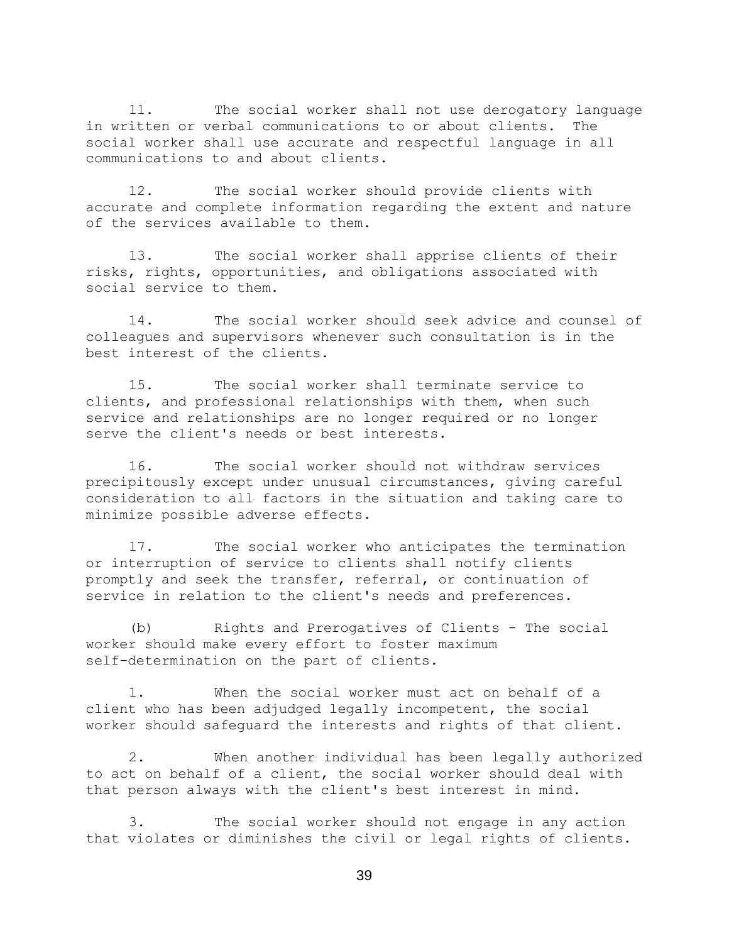11. The social worker shall not use derogatory language in written or verbal communications to or about clients. The social worker shall use accurate and respectful language in all communications to and about clients.

12. The social worker should provide clients with accurate and complete information regarding the extent and nature of the services available to them.

13. The social worker shall apprise clients of their risks, rights, opportunities, and obligations associated with social service to them.

14. The social worker should seek advice and counsel of colleagues and supervisors whenever such consultation is in the best interest of the clients.

15. The social worker shall terminate service to clients, and professional relationships with them, when such service and relationships are no longer required or no longer serve the client's needs or best interests.

16. The social worker should not withdraw services precipitously except under unusual circumstances, giving careful consideration to all factors in the situation and taking care to minimize possible adverse effects.

17. The social worker who anticipates the termination or interruption of service to clients shall notify clients promptly and seek the transfer, referral, or continuation of service in relation to the client's needs and preferences.

(b) Rights and Prerogatives of Clients - The social worker should make every effort to foster maximum self-determination on the part of clients.

1. When the social worker must act on behalf of a client who has been adjudged legally incompetent, the social worker should safeguard the interests and rights of that client.

2. When another individual has been legally authorized to act on behalf of a client, the social worker should deal with that person always with the client's best interest in mind.

3. The social worker should not engage in any action that violates or diminishes the civil or legal rights of clients.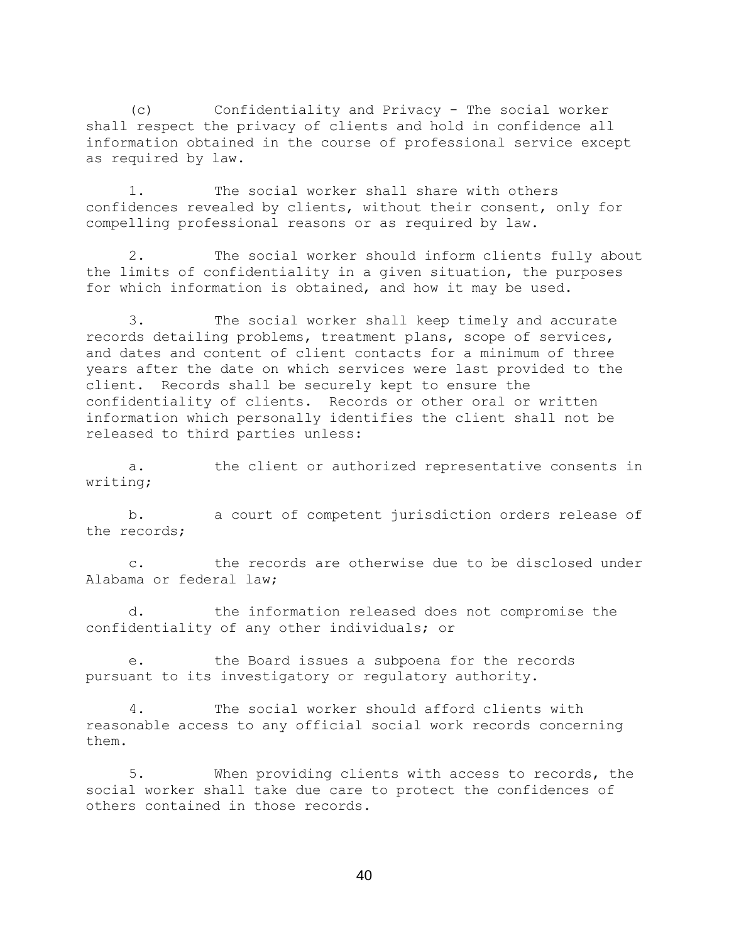(c) Confidentiality and Privacy - The social worker shall respect the privacy of clients and hold in confidence all information obtained in the course of professional service except as required by law.

1. The social worker shall share with others confidences revealed by clients, without their consent, only for compelling professional reasons or as required by law.

2. The social worker should inform clients fully about the limits of confidentiality in a given situation, the purposes for which information is obtained, and how it may be used.

3. The social worker shall keep timely and accurate records detailing problems, treatment plans, scope of services, and dates and content of client contacts for a minimum of three years after the date on which services were last provided to the client. Records shall be securely kept to ensure the confidentiality of clients. Records or other oral or written information which personally identifies the client shall not be released to third parties unless:

a. the client or authorized representative consents in writing;

b. a court of competent jurisdiction orders release of the records;

c. the records are otherwise due to be disclosed under Alabama or federal law;

d. the information released does not compromise the confidentiality of any other individuals; or

e. the Board issues a subpoena for the records pursuant to its investigatory or regulatory authority.

4. The social worker should afford clients with reasonable access to any official social work records concerning them.

5. When providing clients with access to records, the social worker shall take due care to protect the confidences of others contained in those records.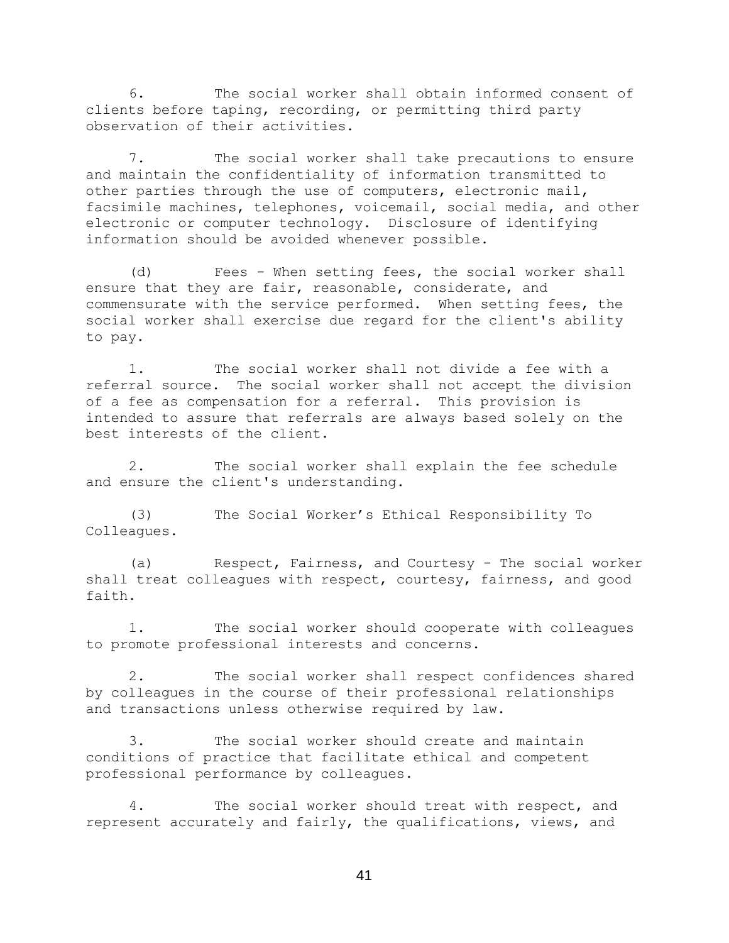6. The social worker shall obtain informed consent of clients before taping, recording, or permitting third party observation of their activities.

7. The social worker shall take precautions to ensure and maintain the confidentiality of information transmitted to other parties through the use of computers, electronic mail, facsimile machines, telephones, voicemail, social media, and other electronic or computer technology. Disclosure of identifying information should be avoided whenever possible.

(d) Fees - When setting fees, the social worker shall ensure that they are fair, reasonable, considerate, and commensurate with the service performed. When setting fees, the social worker shall exercise due regard for the client's ability to pay.

1. The social worker shall not divide a fee with a referral source. The social worker shall not accept the division of a fee as compensation for a referral. This provision is intended to assure that referrals are always based solely on the best interests of the client.

2. The social worker shall explain the fee schedule and ensure the client's understanding.

(3) The Social Worker's Ethical Responsibility To Colleagues.

(a) Respect, Fairness, and Courtesy - The social worker shall treat colleagues with respect, courtesy, fairness, and good faith.

1. The social worker should cooperate with colleagues to promote professional interests and concerns.

2. The social worker shall respect confidences shared by colleagues in the course of their professional relationships and transactions unless otherwise required by law.

3. The social worker should create and maintain conditions of practice that facilitate ethical and competent professional performance by colleagues.

4. The social worker should treat with respect, and represent accurately and fairly, the qualifications, views, and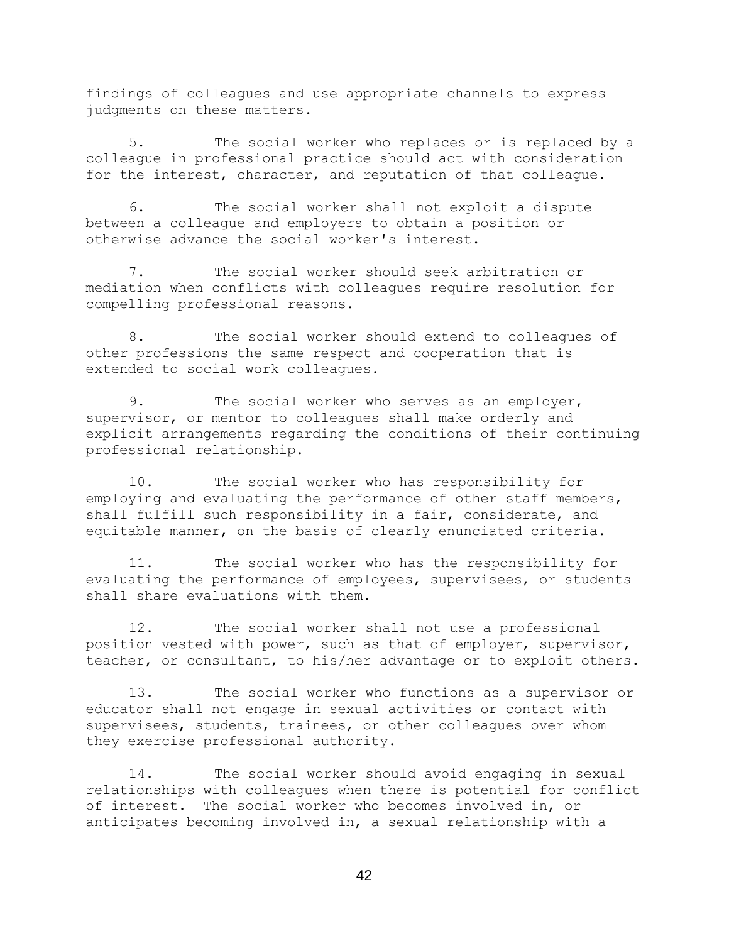findings of colleagues and use appropriate channels to express judgments on these matters.

5. The social worker who replaces or is replaced by a colleague in professional practice should act with consideration for the interest, character, and reputation of that colleague.

6. The social worker shall not exploit a dispute between a colleague and employers to obtain a position or otherwise advance the social worker's interest.

7. The social worker should seek arbitration or mediation when conflicts with colleagues require resolution for compelling professional reasons.

8. The social worker should extend to colleagues of other professions the same respect and cooperation that is extended to social work colleagues.

9. The social worker who serves as an employer, supervisor, or mentor to colleagues shall make orderly and explicit arrangements regarding the conditions of their continuing professional relationship.

10. The social worker who has responsibility for employing and evaluating the performance of other staff members, shall fulfill such responsibility in a fair, considerate, and equitable manner, on the basis of clearly enunciated criteria.

11. The social worker who has the responsibility for evaluating the performance of employees, supervisees, or students shall share evaluations with them.

12. The social worker shall not use a professional position vested with power, such as that of employer, supervisor, teacher, or consultant, to his/her advantage or to exploit others.

13. The social worker who functions as a supervisor or educator shall not engage in sexual activities or contact with supervisees, students, trainees, or other colleagues over whom they exercise professional authority.

14. The social worker should avoid engaging in sexual relationships with colleagues when there is potential for conflict of interest. The social worker who becomes involved in, or anticipates becoming involved in, a sexual relationship with a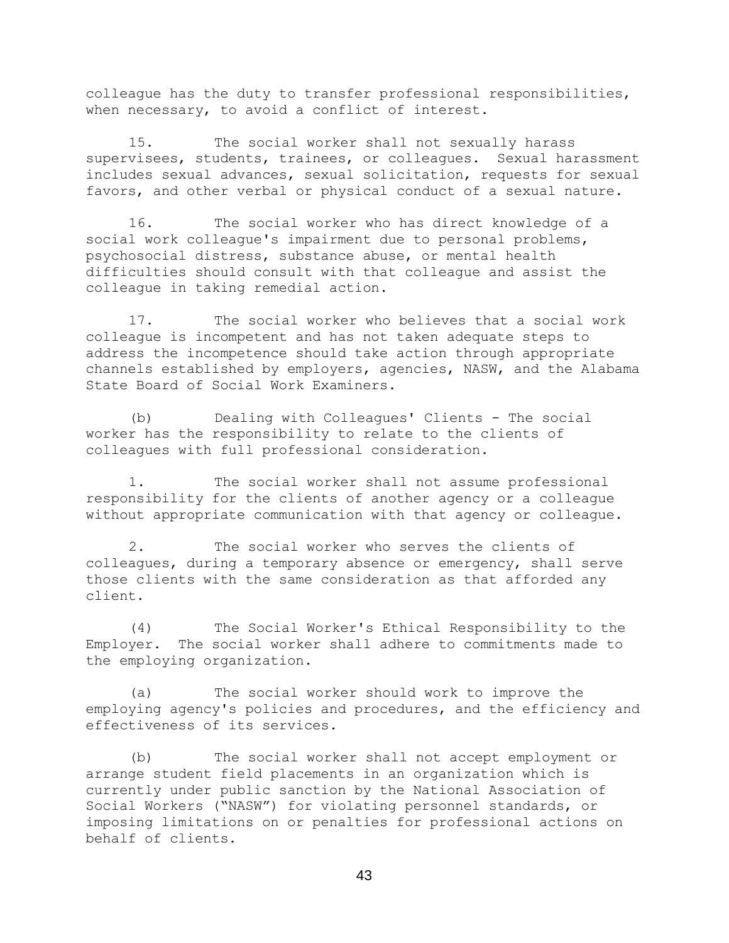colleague has the duty to transfer professional responsibilities, when necessary, to avoid a conflict of interest.

15. The social worker shall not sexually harass supervisees, students, trainees, or colleagues. Sexual harassment includes sexual advances, sexual solicitation, requests for sexual favors, and other verbal or physical conduct of a sexual nature.

16. The social worker who has direct knowledge of a social work colleague's impairment due to personal problems, psychosocial distress, substance abuse, or mental health difficulties should consult with that colleague and assist the colleague in taking remedial action.

17. The social worker who believes that a social work colleague is incompetent and has not taken adequate steps to address the incompetence should take action through appropriate channels established by employers, agencies, NASW, and the Alabama State Board of Social Work Examiners.

(b) Dealing with Colleagues' Clients - The social worker has the responsibility to relate to the clients of colleagues with full professional consideration.

1. The social worker shall not assume professional responsibility for the clients of another agency or a colleague without appropriate communication with that agency or colleague.

2. The social worker who serves the clients of colleagues, during a temporary absence or emergency, shall serve those clients with the same consideration as that afforded any client.

(4) The Social Worker's Ethical Responsibility to the Employer. The social worker shall adhere to commitments made to the employing organization.

(a) The social worker should work to improve the employing agency's policies and procedures, and the efficiency and effectiveness of its services.

(b) The social worker shall not accept employment or arrange student field placements in an organization which is currently under public sanction by the National Association of Social Workers ("NASW") for violating personnel standards, or imposing limitations on or penalties for professional actions on behalf of clients.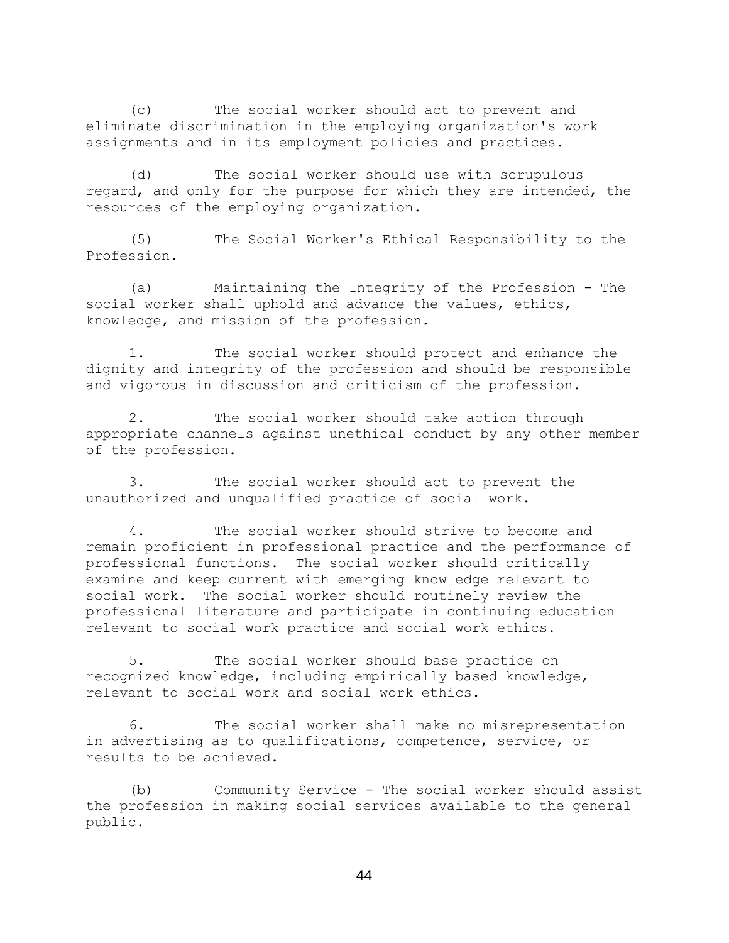(c) The social worker should act to prevent and eliminate discrimination in the employing organization's work assignments and in its employment policies and practices.

(d) The social worker should use with scrupulous regard, and only for the purpose for which they are intended, the resources of the employing organization.

(5) The Social Worker's Ethical Responsibility to the Profession.

(a) Maintaining the Integrity of the Profession - The social worker shall uphold and advance the values, ethics, knowledge, and mission of the profession.

1. The social worker should protect and enhance the dignity and integrity of the profession and should be responsible and vigorous in discussion and criticism of the profession.

2. The social worker should take action through appropriate channels against unethical conduct by any other member of the profession.

3. The social worker should act to prevent the unauthorized and unqualified practice of social work.

4. The social worker should strive to become and remain proficient in professional practice and the performance of professional functions. The social worker should critically examine and keep current with emerging knowledge relevant to social work. The social worker should routinely review the professional literature and participate in continuing education relevant to social work practice and social work ethics.

5. The social worker should base practice on recognized knowledge, including empirically based knowledge, relevant to social work and social work ethics.

6. The social worker shall make no misrepresentation in advertising as to qualifications, competence, service, or results to be achieved.

(b) Community Service - The social worker should assist the profession in making social services available to the general public.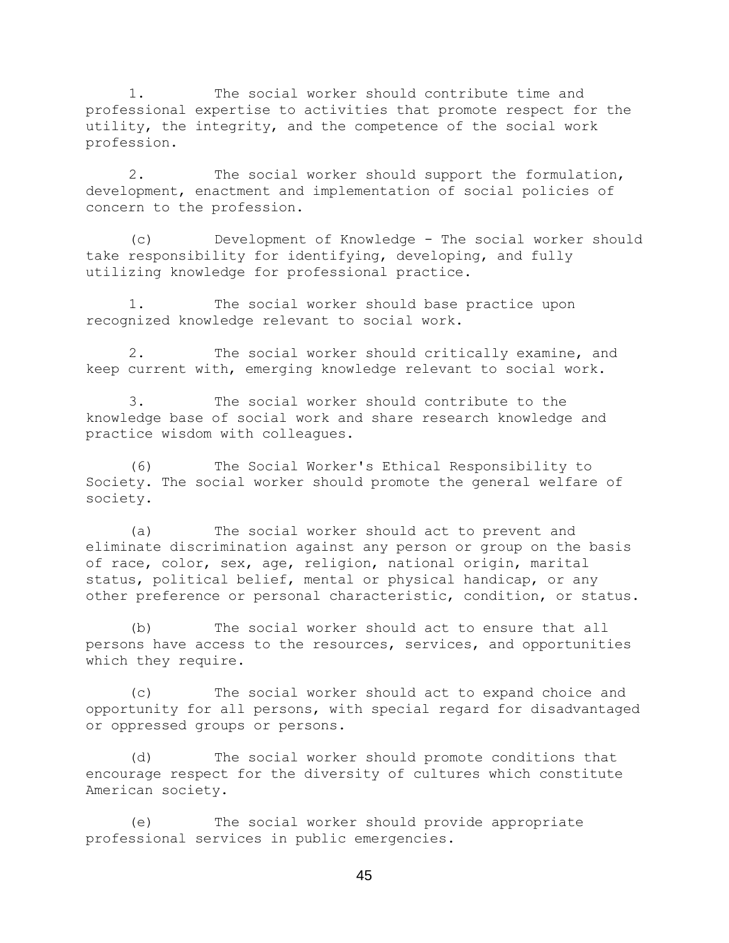1. The social worker should contribute time and professional expertise to activities that promote respect for the utility, the integrity, and the competence of the social work profession.

2. The social worker should support the formulation, development, enactment and implementation of social policies of concern to the profession.

(c) Development of Knowledge - The social worker should take responsibility for identifying, developing, and fully utilizing knowledge for professional practice.

1. The social worker should base practice upon recognized knowledge relevant to social work.

2. The social worker should critically examine, and keep current with, emerging knowledge relevant to social work.

3. The social worker should contribute to the knowledge base of social work and share research knowledge and practice wisdom with colleagues.

(6) The Social Worker's Ethical Responsibility to Society. The social worker should promote the general welfare of society.

(a) The social worker should act to prevent and eliminate discrimination against any person or group on the basis of race, color, sex, age, religion, national origin, marital status, political belief, mental or physical handicap, or any other preference or personal characteristic, condition, or status.

(b) The social worker should act to ensure that all persons have access to the resources, services, and opportunities which they require.

(c) The social worker should act to expand choice and opportunity for all persons, with special regard for disadvantaged or oppressed groups or persons.

(d) The social worker should promote conditions that encourage respect for the diversity of cultures which constitute American society.

(e) The social worker should provide appropriate professional services in public emergencies.